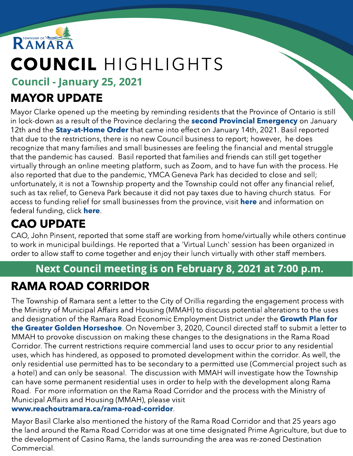

# COUNCIL HIGHLIGHTS

Council - January 25, 2021

## MAYOR UPDATE

Mayor Clarke opened up the meeting by reminding residents that the Province of Ontario is still in lock-down as a result of the Province declaring the **[second](https://news.ontario.ca/en/release/59922/ontario-declares-second-provincial-emergency-to-address-covid-19-crisis-and-save-lives) [Provincial](https://news.ontario.ca/en/release/59922/ontario-declares-second-provincial-emergency-to-address-covid-19-crisis-and-save-lives) [Emergency](https://news.ontario.ca/en/release/59922/ontario-declares-second-provincial-emergency-to-address-covid-19-crisis-and-save-lives)** on January 12th and the **[Stay-at-Home](https://covid-19.ontario.ca/zones-and-restrictions?gclid=Cj0KCQiAmL-ABhDFARIsAKywVafkiZOA9ZhOG-4KMHih3gROx51e5dHIP66Nb7oybwnCCket9heJXz8aArtvEALw_wcB) [Order](https://covid-19.ontario.ca/zones-and-restrictions?gclid=Cj0KCQiAmL-ABhDFARIsAKywVafkiZOA9ZhOG-4KMHih3gROx51e5dHIP66Nb7oybwnCCket9heJXz8aArtvEALw_wcB)** that came into effect on January 14th, 2021. Basil reported that due to the restrictions, there is no new Council business to report; however, he does recognize that many families and small businesses are feeling the financial and mental struggle that the pandemic has caused. Basil reported that families and friends can still get together virtually through an online meeting platform, such as Zoom, and to have fun with the process. He also reported that due to the pandemic, YMCA Geneva Park has decided to close and sell; unfortunately, it is not a Township property and the Township could not offer any financial relief, such as tax relief, to Geneva Park because it did not pay taxes due to having church status. For access to funding relief for small businesses from the province, visit **[here](https://www.ontario.ca/page/businesses-get-help-covid-19-costs)** and information on federal funding, click [here](https://www.canada.ca/en/revenue-agency/services/subsidy/emergency-rent-subsidy.html)[.](https://www.canada.ca/en/revenue-agency/services/subsidy/emergency-rent-subsidy.html)

## CAO UPDATE

CAO, John Pinsent, reported that some staff are working from home/virtually while others continue to work in municipal buildings. He reported that a 'Virtual Lunch' session has been organized in order to allow staff to come together and enjoy their lunch virtually with other staff members.

### Next Council meeting is on February 8, 2021 at 7:00 p.m.

## RAMA ROAD CORRIDOR

The Township of Ramara sent a letter to the City of Orillia regarding the engagement process with the Ministry of Municipal Affairs and Housing (MMAH) to discuss potential alterations to the uses and designation of the Ramara Road Economic Employment District under the G[row](https://files.ontario.ca/mmah-place-to-grow-office-consolidation-en-2020-08-28.pdf)th [Plan](https://files.ontario.ca/mmah-place-to-grow-office-consolidation-en-2020-08-28.pdf) [for](https://files.ontario.ca/mmah-place-to-grow-office-consolidation-en-2020-08-28.pdf) [the](https://files.ontario.ca/mmah-place-to-grow-office-consolidation-en-2020-08-28.pdf) [Greater](https://files.ontario.ca/mmah-place-to-grow-office-consolidation-en-2020-08-28.pdf) [Golden](https://files.ontario.ca/mmah-place-to-grow-office-consolidation-en-2020-08-28.pdf) [Horseshoe](https://files.ontario.ca/mmah-place-to-grow-office-consolidation-en-2020-08-28.pdf). On November 3, 2020, Council directed staff to submit a letter to MMAH to provoke discussion on making these changes to the designations in the Rama Road Corridor. The current restrictions require commercial land uses to occur prior to any residential uses, which has hindered, as opposed to promoted development within the corridor. As well, the only residential use permitted has to be secondary to a permitted use (Commercial project such as a hotel) and can only be seasonal. The discussion with MMAH will investigate how the Township can have some permanent residential uses in order to help with the development along Rama Road. For more information on the Rama Road Corridor and the process with the Ministry of Municipal Affairs and Housing (MMAH), please visit

#### ww[w.reachoutramara.ca/rama-road-corridor](http://www.reachoutramara.ca/rama-road-corridor).

Mayor Basil Clarke also mentioned the history of the Rama Road Corridor and that 25 years ago the land around the Rama Road Corridor was at one time designated Prime Agriculture, but due to the development of Casino Rama, the lands surrounding the area was re-zoned Destination Commercial.